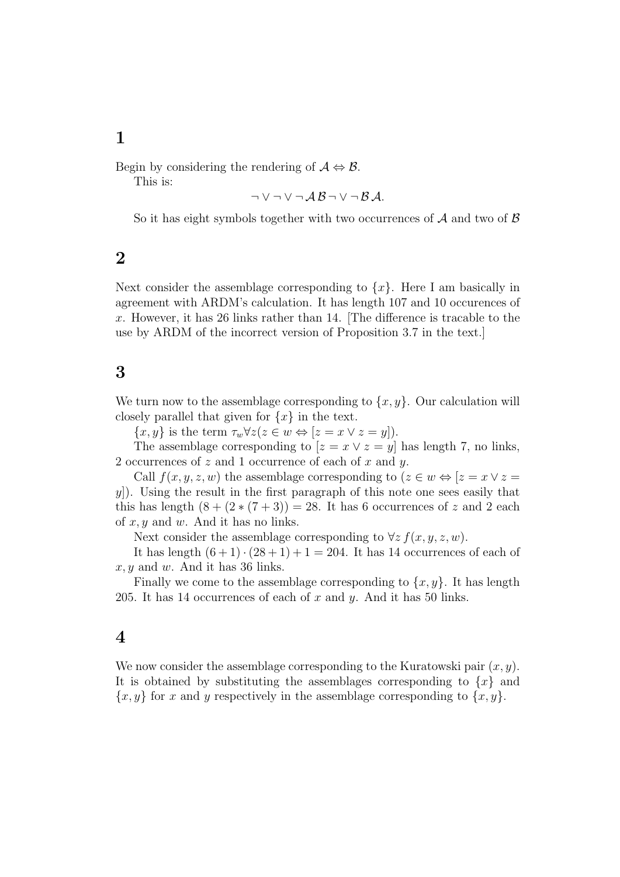## **1**

Begin by considering the rendering of  $A \Leftrightarrow B$ .

This is:

$$
\neg \vee \neg \vee \neg \mathcal{A}\mathcal{B} \neg \vee \neg \mathcal{B}\mathcal{A}.
$$

So it has eight symbols together with two occurrences of *A* and two of *B*

## **2**

Next consider the assemblage corresponding to  $\{x\}$ . Here I am basically in agreement with ARDM's calculation. It has length 107 and 10 occurences of *x*. However, it has 26 links rather than 14. [The difference is tracable to the use by ARDM of the incorrect version of Proposition 3.7 in the text.]

## **3**

We turn now to the assemblage corresponding to  $\{x, y\}$ . Our calculation will closely parallel that given for  $\{x\}$  in the text.

 $\{x, y\}$  is the term  $\tau_w \forall z (z \in w \Leftrightarrow [z = x \lor z = y]).$ 

The assemblage corresponding to  $[z = x \lor z = y]$  has length 7, no links, 2 occurrences of *z* and 1 occurrence of each of *x* and *y*.

Call  $f(x, y, z, w)$  the assemblage corresponding to  $(z \in w \Leftrightarrow [z = x \vee z =$ *y*). Using the result in the first paragraph of this note one sees easily that this has length  $(8 + (2 * (7 + 3)) = 28$ . It has 6 occurrences of *z* and 2 each of *x, y* and *w*. And it has no links.

Next consider the assemblage corresponding to  $\forall z f(x, y, z, w)$ .

It has length  $(6+1) \cdot (28+1) + 1 = 204$ . It has 14 occurrences of each of *x, y* and *w*. And it has 36 links.

Finally we come to the assemblage corresponding to  $\{x, y\}$ . It has length 205. It has 14 occurrences of each of *x* and *y*. And it has 50 links.

## **4**

We now consider the assemblage corresponding to the Kuratowski pair (*x, y*). It is obtained by substituting the assemblages corresponding to  $\{x\}$  and  ${x, y}$  for *x* and *y* respectively in the assemblage corresponding to  ${x, y}$ .